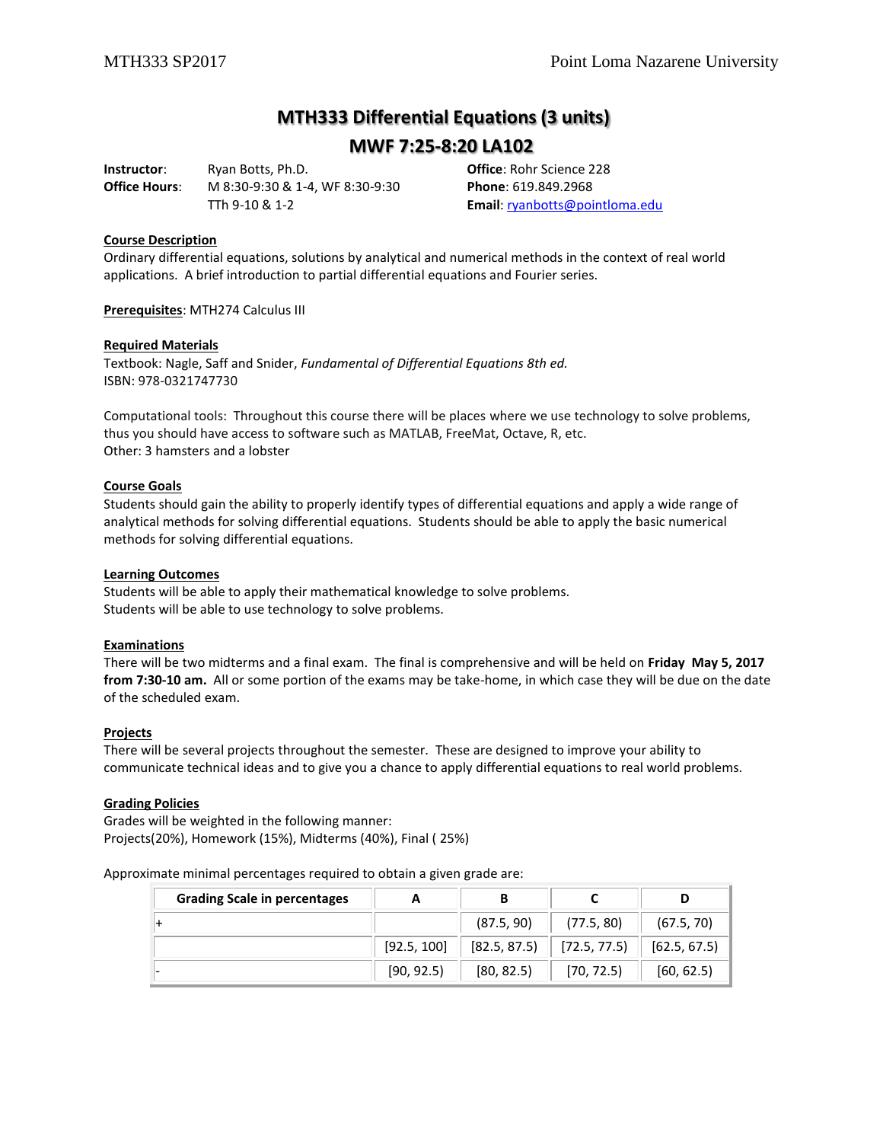# **MTH333 Differential Equations (3 units)**

**MWF 7:25-8:20 LA102**

**Instructor**: Ryan Botts, Ph.D. **Office**: Rohr Science 228 **Office Hours**: M 8:30-9:30 & 1-4, WF 8:30-9:30 **Phone**: 619.849.2968

TTh 9-10 & 1-2 **Email**: [ryanbotts@pointloma.edu](mailto:ryanbotts@pointloma.edu)

# **Course Description**

Ordinary differential equations, solutions by analytical and numerical methods in the context of real world applications. A brief introduction to partial differential equations and Fourier series.

**Prerequisites**: MTH274 Calculus III

#### **Required Materials**

Textbook: Nagle, Saff and Snider, *Fundamental of Differential Equations 8th ed.* ISBN: 978-0321747730

Computational tools: Throughout this course there will be places where we use technology to solve problems, thus you should have access to software such as MATLAB, FreeMat, Octave, R, etc. Other: 3 hamsters and a lobster

## **Course Goals**

Students should gain the ability to properly identify types of differential equations and apply a wide range of analytical methods for solving differential equations. Students should be able to apply the basic numerical methods for solving differential equations.

#### **Learning Outcomes**

Students will be able to apply their mathematical knowledge to solve problems. Students will be able to use technology to solve problems.

# **Examinations**

There will be two midterms and a final exam. The final is comprehensive and will be held on **Friday May 5, 2017 from 7:30-10 am.** All or some portion of the exams may be take-home, in which case they will be due on the date of the scheduled exam.

#### **Projects**

There will be several projects throughout the semester. These are designed to improve your ability to communicate technical ideas and to give you a chance to apply differential equations to real world problems.

#### **Grading Policies**

Grades will be weighted in the following manner: Projects(20%), Homework (15%), Midterms (40%), Final ( 25%)

Approximate minimal percentages required to obtain a given grade are:

| <b>Grading Scale in percentages</b> | A           | В                             |            |              |
|-------------------------------------|-------------|-------------------------------|------------|--------------|
|                                     |             | (87.5, 90)                    | (77.5, 80) | (67.5, 70)   |
|                                     | [92.5, 100] | $[82.5, 87.5]$ $[72.5, 77.5]$ |            | [62.5, 67.5] |
|                                     | [90, 92.5]  | [80, 82.5]                    | [70, 72.5] | [60, 62.5]   |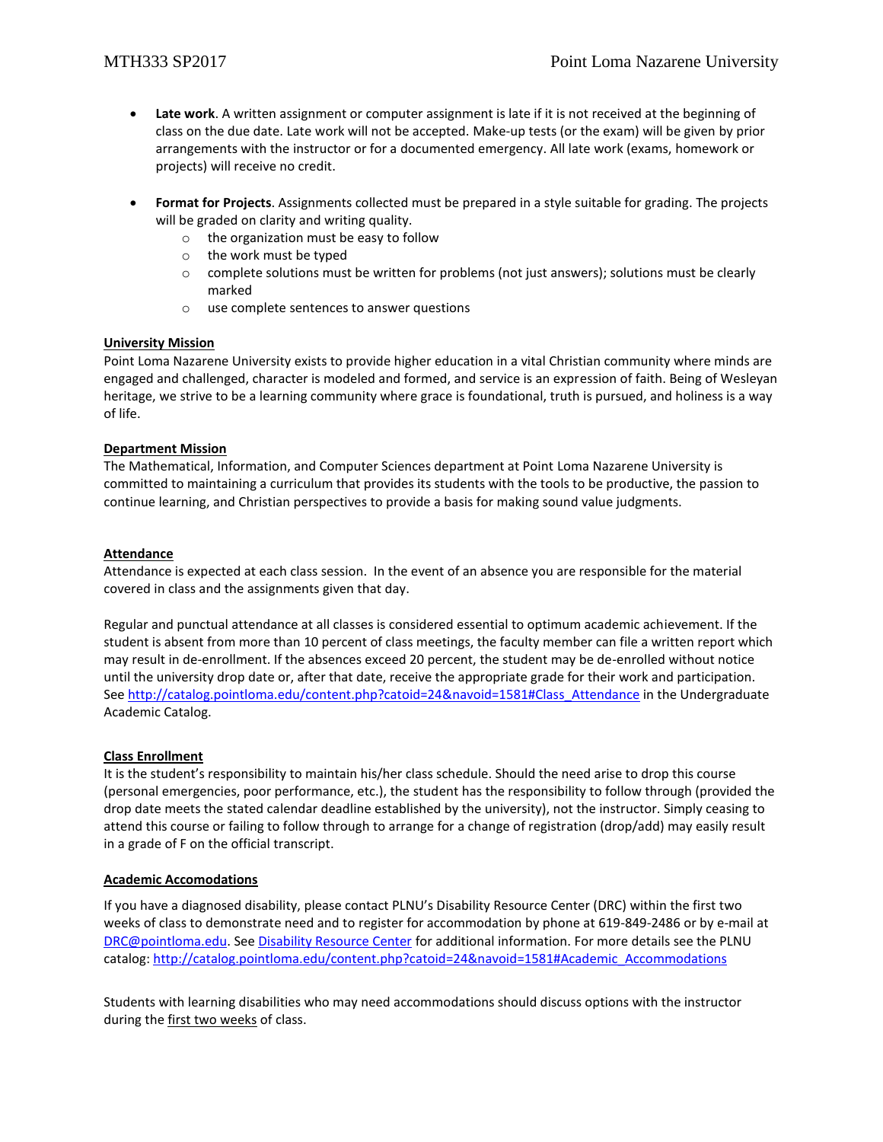- **Late work**. A written assignment or computer assignment is late if it is not received at the beginning of class on the due date. Late work will not be accepted. Make-up tests (or the exam) will be given by prior arrangements with the instructor or for a documented emergency. All late work (exams, homework or projects) will receive no credit.
- **Format for Projects**. Assignments collected must be prepared in a style suitable for grading. The projects will be graded on clarity and writing quality.
	- o the organization must be easy to follow
	- o the work must be typed
	- $\circ$  complete solutions must be written for problems (not just answers); solutions must be clearly marked
	- o use complete sentences to answer questions

# **University Mission**

Point Loma Nazarene University exists to provide higher education in a vital Christian community where minds are engaged and challenged, character is modeled and formed, and service is an expression of faith. Being of Wesleyan heritage, we strive to be a learning community where grace is foundational, truth is pursued, and holiness is a way of life.

# **Department Mission**

The Mathematical, Information, and Computer Sciences department at Point Loma Nazarene University is committed to maintaining a curriculum that provides its students with the tools to be productive, the passion to continue learning, and Christian perspectives to provide a basis for making sound value judgments.

# **Attendance**

Attendance is expected at each class session. In the event of an absence you are responsible for the material covered in class and the assignments given that day.

Regular and punctual attendance at all classes is considered essential to optimum academic achievement. If the student is absent from more than 10 percent of class meetings, the faculty member can file a written report which may result in de-enrollment. If the absences exceed 20 percent, the student may be de-enrolled without notice until the university drop date or, after that date, receive the appropriate grade for their work and participation. See [http://catalog.pointloma.edu/content.php?catoid=24&navoid=1581#Class\\_Attendance](http://catalog.pointloma.edu/content.php?catoid=24&navoid=1581#Class_Attendance) in the Undergraduate Academic Catalog.

# **Class Enrollment**

It is the student's responsibility to maintain his/her class schedule. Should the need arise to drop this course (personal emergencies, poor performance, etc.), the student has the responsibility to follow through (provided the drop date meets the stated calendar deadline established by the university), not the instructor. Simply ceasing to attend this course or failing to follow through to arrange for a change of registration (drop/add) may easily result in a grade of F on the official transcript.

# **Academic Accomodations**

If you have a diagnosed disability, please contact PLNU's Disability Resource Center (DRC) within the first two weeks of class to demonstrate need and to register for accommodation by phone at 619-849-2486 or by e-mail at [DRC@pointloma.edu.](mailto:DRC@pointloma.edu) See [Disability Resource Center](http://www.pointloma.edu/experience/offices/administrative-offices/academic-advising-office/disability-resource-center) for additional information. For more details see the PLNU catalog[: http://catalog.pointloma.edu/content.php?catoid=24&navoid=1581#Academic\\_Accommodations](http://catalog.pointloma.edu/content.php?catoid=24&navoid=1581#Academic_Accommodations) 

Students with learning disabilities who may need accommodations should discuss options with the instructor during the first two weeks of class.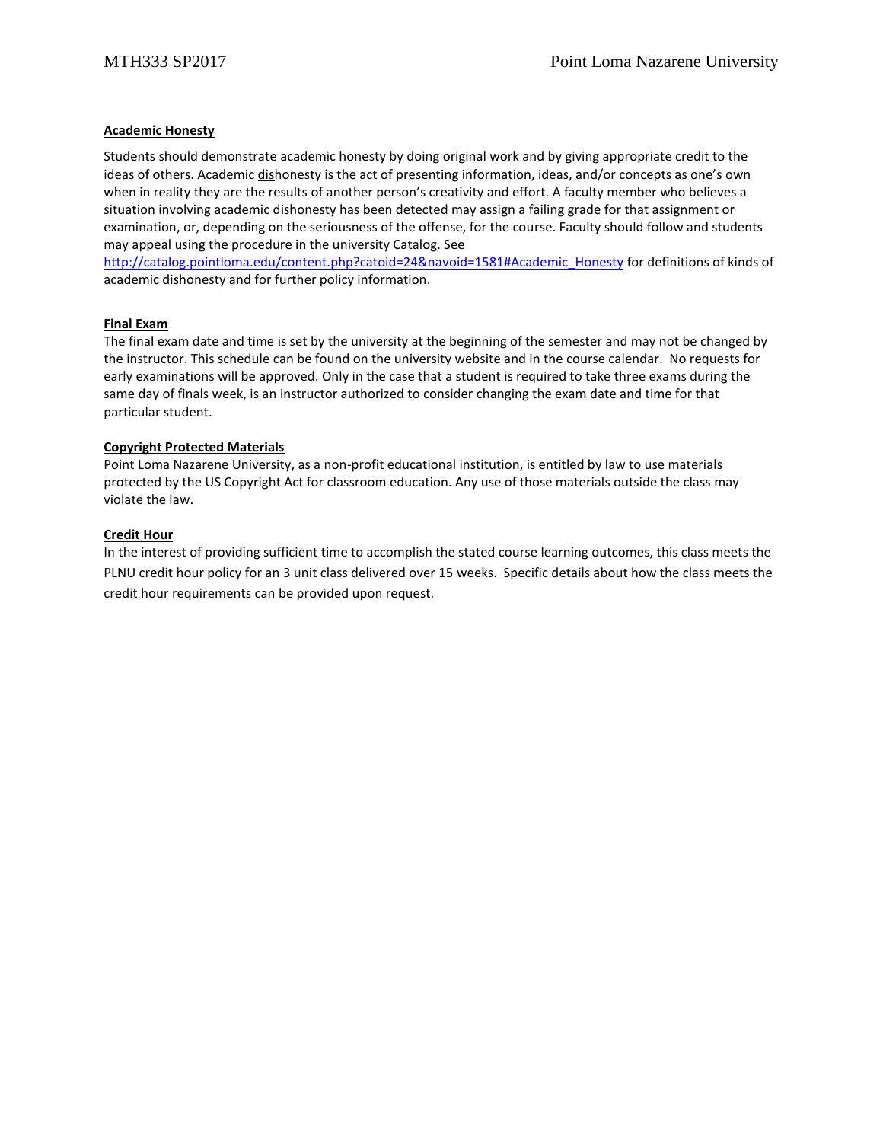# **Academic Honesty**

Students should demonstrate academic honesty by doing original work and by giving appropriate credit to the ideas of others. Academic dishonesty is the act of presenting information, ideas, and/or concepts as one's own when in reality they are the results of another person's creativity and effort. A faculty member who believes a situation involving academic dishonesty has been detected may assign a failing grade for that assignment or examination, or, depending on the seriousness of the offense, for the course. Faculty should follow and students may appeal using the procedure in the university Catalog. See

[http://catalog.pointloma.edu/content.php?catoid=24&navoid=1581#Academic\\_Honesty](http://catalog.pointloma.edu/content.php?catoid=24&navoid=1581#Academic_Honesty) for definitions of kinds of academic dishonesty and for further policy information.

## **Final Exam**

The final exam date and time is set by the university at the beginning of the semester and may not be changed by the instructor. This schedule can be found on the university website and in the course calendar. No requests for early examinations will be approved. Only in the case that a student is required to take three exams during the same day of finals week, is an instructor authorized to consider changing the exam date and time for that particular student.

## **Copyright Protected Materials**

Point Loma Nazarene University, as a non-profit educational institution, is entitled by law to use materials protected by the US Copyright Act for classroom education. Any use of those materials outside the class may violate the law.

## **Credit Hour**

In the interest of providing sufficient time to accomplish the stated course learning outcomes, this class meets the PLNU credit hour policy for an 3 unit class delivered over 15 weeks. Specific details about how the class meets the credit hour requirements can be provided upon request.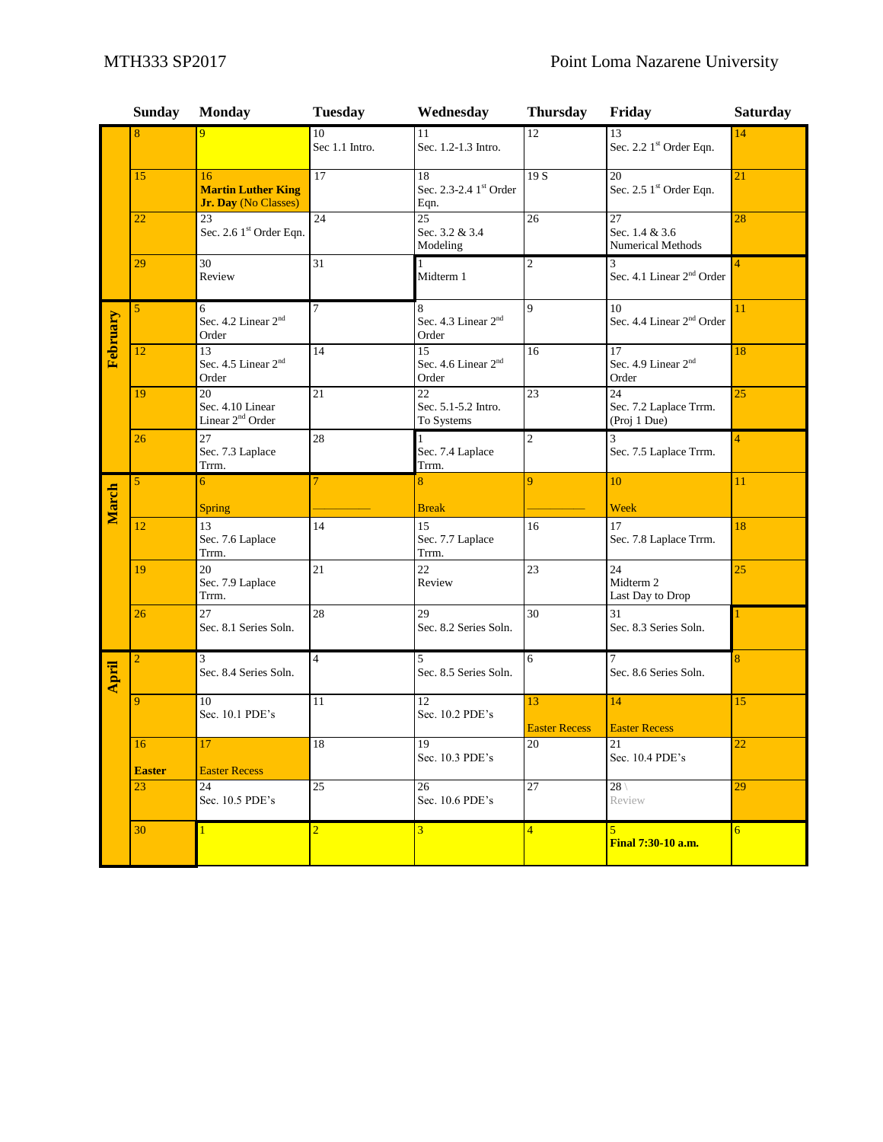|          | <b>Sunday</b>       | <b>Monday</b>                                           | <b>Tuesday</b>       | Wednesday                                      | <b>Thursday</b>            | Friday                                                    | <b>Saturday</b> |
|----------|---------------------|---------------------------------------------------------|----------------------|------------------------------------------------|----------------------------|-----------------------------------------------------------|-----------------|
|          | 8                   |                                                         | 10<br>Sec 1.1 Intro. | 11<br>Sec. 1.2-1.3 Intro.                      | 12                         | 13<br>Sec. 2.2 1st Order Eqn.                             | 14              |
|          | 15                  | 16<br><b>Martin Luther King</b><br>Jr. Day (No Classes) | 17                   | 18<br>Sec. 2.3-2.4 1st Order<br>Eqn.           | 19S                        | 20<br>Sec. 2.5 1st Order Eqn.                             | 21              |
|          | 22                  | 23<br>Sec. 2.6 1st Order Eqn.                           | 24                   | 25<br>Sec. 3.2 & 3.4<br>Modeling               | 26                         | 27<br>Sec. 1.4 & 3.6<br>Numerical Methods                 | 28              |
|          | 29                  | 30<br>Review                                            | 31                   | $\mathbf{1}$<br>Midterm 1                      | $\overline{c}$             | 3<br>Sec. 4.1 Linear 2 <sup>nd</sup> Order                | $\overline{4}$  |
|          | 5                   | 6<br>Sec. 4.2 Linear 2 <sup>nd</sup><br>Order           | 7                    | 8<br>Sec. 4.3 Linear 2 <sup>nd</sup><br>Order  | 9                          | 10<br>Sec. 4.4 Linear 2 <sup>nd</sup> Order               | 11              |
| February | 12                  | 13<br>Sec. 4.5 Linear 2 <sup>nd</sup><br>Order          | 14                   | 15<br>Sec. 4.6 Linear 2 <sup>nd</sup><br>Order | 16                         | 17<br>Sec. 4.9 Linear 2 <sup>nd</sup><br>Order            | 18              |
|          | 19                  | 20<br>Sec. 4.10 Linear<br>Linear 2 <sup>nd</sup> Order  | $\overline{21}$      | 22<br>Sec. 5.1-5.2 Intro.<br>To Systems        | $\overline{23}$            | $\overline{24}$<br>Sec. 7.2 Laplace Trrm.<br>(Proj 1 Due) | $\overline{25}$ |
|          | 26                  | 27<br>Sec. 7.3 Laplace<br>Trrm.                         | 28                   | 1<br>Sec. 7.4 Laplace<br>Trrm.                 | $\overline{c}$             | 3<br>Sec. 7.5 Laplace Trrm.                               | $\overline{4}$  |
|          | 5                   | 6                                                       |                      | 8                                              | 9                          | 10                                                        | 11              |
| March    |                     | Spring                                                  |                      | <b>Break</b>                                   |                            | Week                                                      |                 |
|          | 12                  | 13<br>Sec. 7.6 Laplace<br>Trrm.                         | 14                   | 15<br>Sec. 7.7 Laplace<br>Trrm.                | 16                         | 17<br>Sec. 7.8 Laplace Trrm.                              | 18              |
|          | 19                  | 20<br>Sec. 7.9 Laplace<br>Trrm.                         | 21                   | 22<br>Review                                   | 23                         | 24<br>Midterm 2<br>Last Day to Drop                       | 25              |
|          | 26                  | 27<br>Sec. 8.1 Series Soln.                             | 28                   | 29<br>Sec. 8.2 Series Soln.                    | 30                         | 31<br>Sec. 8.3 Series Soln.                               |                 |
| April    | 2                   | 3<br>Sec. 8.4 Series Soln.                              | $\overline{4}$       | 5<br>Sec. 8.5 Series Soln.                     | 6                          | 7<br>Sec. 8.6 Series Soln.                                | 8               |
|          | 9                   | 10<br>Sec. 10.1 PDE's                                   | 11                   | 12<br>Sec. 10.2 PDE's                          | 13<br><b>Easter Recess</b> | 14<br><b>Easter Recess</b>                                | 15              |
|          | 16<br><b>Easter</b> | 17<br><b>Easter Recess</b>                              | 18                   | 19<br>Sec. 10.3 PDE's                          | $20\,$                     | 21<br>Sec. 10.4 PDE's                                     | 22              |
|          | 23                  | 24<br>Sec. 10.5 PDE's                                   | 25                   | 26<br>Sec. 10.6 PDE's                          | $\overline{27}$            | $28 \setminus$<br>Review                                  | 29              |
|          | 30                  |                                                         | $\overline{2}$       | $\overline{3}$                                 | $\overline{4}$             | $\overline{5}$<br><b>Final 7:30-10 a.m.</b>               | $6\overline{6}$ |